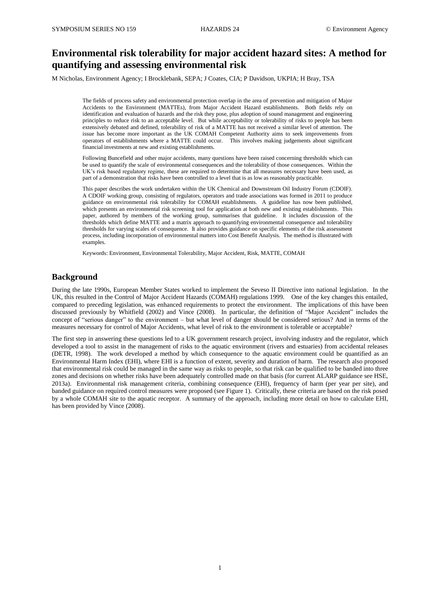# **Environmental risk tolerability for major accident hazard sites: A method for quantifying and assessing environmental risk**

M Nicholas, Environment Agency; I Brocklebank, SEPA; J Coates, CIA; P Davidson, UKPIA; H Bray, TSA

The fields of process safety and environmental protection overlap in the area of prevention and mitigation of Major Accidents to the Environment (MATTEs), from Major Accident Hazard establishments. Both fields rely on identification and evaluation of hazards and the risk they pose, plus adoption of sound management and engineering principles to reduce risk to an acceptable level. But while acceptability or tolerability of risks to people has been extensively debated and defined, tolerability of risk of a MATTE has not received a similar level of attention. The issue has become more important as the UK COMAH Competent Authority aims to seek improvements from operators of establishments where a MATTE could occur. This involves making judgements about significant financial investments at new and existing establishments.

Following Buncefield and other major accidents, many questions have been raised concerning thresholds which can be used to quantify the scale of environmental consequences and the tolerability of those consequences. Within the UK's risk based regulatory regime, these are required to determine that all measures necessary have been used, as part of a demonstration that risks have been controlled to a level that is as low as reasonably practicable.

This paper describes the work undertaken within the UK Chemical and Downstream Oil Industry Forum (CDOIF). A CDOIF working group, consisting of regulators, operators and trade associations was formed in 2011 to produce guidance on environmental risk tolerability for COMAH establishments. A guideline has now been published, which presents an environmental risk screening tool for application at both new and existing establishments. This paper, authored by members of the working group, summarises that guideline. It includes discussion of the thresholds which define MATTE and a matrix approach to quantifying environmental consequence and tolerability thresholds for varying scales of consequence. It also provides guidance on specific elements of the risk assessment process, including incorporation of environmental matters into Cost Benefit Analysis. The method is illustrated with examples.

Keywords: Environment, Environmental Tolerability, Major Accident, Risk, MATTE, COMAH

### **Background**

During the late 1990s, European Member States worked to implement the Seveso II Directive into national legislation. In the UK, this resulted in the Control of Major Accident Hazards (COMAH) regulations 1999. One of the key changes this entailed, compared to preceding legislation, was enhanced requirements to protect the environment. The implications of this have been discussed previously by Whitfield (2002) and Vince (2008). In particular, the definition of "Major Accident" includes the concept of "serious danger" to the environment – but what level of danger should be considered serious? And in terms of the measures necessary for control of Major Accidents, what level of risk to the environment is tolerable or acceptable?

The first step in answering these questions led to a UK government research project, involving industry and the regulator, which developed a tool to assist in the management of risks to the aquatic environment (rivers and estuaries) from accidental releases (DETR, 1998). The work developed a method by which consequence to the aquatic environment could be quantified as an Environmental Harm Index (EHI), where EHI is a function of extent, severity and duration of harm. The research also proposed that environmental risk could be managed in the same way as risks to people, so that risk can be qualified to be banded into three zones and decisions on whether risks have been adequately controlled made on that basis (for current ALARP guidance see HSE, 2013a). Environmental risk management criteria, combining consequence (EHI), frequency of harm (per year per site), and banded guidance on required control measures were proposed (see Figure 1). Critically, these criteria are based on the risk posed by a whole COMAH site to the aquatic receptor. A summary of the approach, including more detail on how to calculate EHI, has been provided by Vince (2008).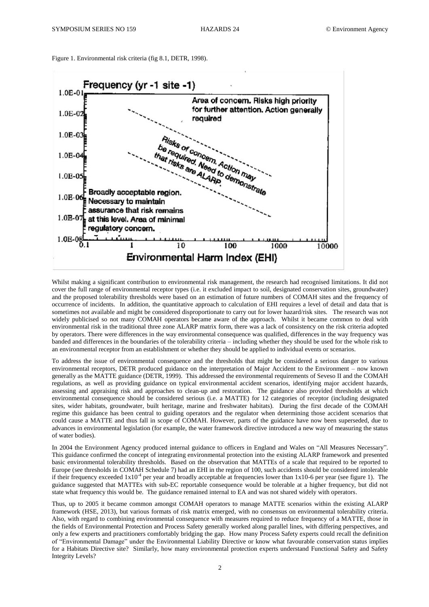Figure 1. Environmental risk criteria (fig 8.1, DETR, 1998).



Whilst making a significant contribution to environmental risk management, the research had recognised limitations. It did not cover the full range of environmental receptor types (i.e. it excluded impact to soil, designated conservation sites, groundwater) and the proposed tolerability thresholds were based on an estimation of future numbers of COMAH sites and the frequency of occurrence of incidents. In addition, the quantitative approach to calculation of EHI requires a level of detail and data that is sometimes not available and might be considered disproportionate to carry out for lower hazard/risk sites. The research was not widely publicised so not many COMAH operators became aware of the approach. Whilst it became common to deal with environmental risk in the traditional three zone ALARP matrix form, there was a lack of consistency on the risk criteria adopted by operators. There were differences in the way environmental consequence was qualified, differences in the way frequency was banded and differences in the boundaries of the tolerability criteria – including whether they should be used for the whole risk to an environmental receptor from an establishment or whether they should be applied to individual events or scenarios.

To address the issue of environmental consequence and the thresholds that might be considered a serious danger to various environmental receptors, DETR produced guidance on the interpretation of Major Accident to the Environment – now known generally as the MATTE guidance (DETR, 1999). This addressed the environmental requirements of Seveso II and the COMAH regulations, as well as providing guidance on typical environmental accident scenarios, identifying major accident hazards, assessing and appraising risk and approaches to clean-up and restoration. The guidance also provided thresholds at which environmental consequence should be considered serious (i.e. a MATTE) for 12 categories of receptor (including designated sites, wider habitats, groundwater, built heritage, marine and freshwater habitats). During the first decade of the COMAH regime this guidance has been central to guiding operators and the regulator when determining those accident scenarios that could cause a MATTE and thus fall in scope of COMAH. However, parts of the guidance have now been superseded, due to advances in environmental legislation (for example, the water framework directive introduced a new way of measuring the status of water bodies).

In 2004 the Environment Agency produced internal guidance to officers in England and Wales on "All Measures Necessary". This guidance confirmed the concept of integrating environmental protection into the existing ALARP framework and presented basic environmental tolerability thresholds. Based on the observation that MATTEs of a scale that required to be reported to Europe (see thresholds in COMAH Schedule 7) had an EHI in the region of 100, such accidents should be considered intolerable if their frequency exceeded  $1x10^4$  per year and broadly acceptable at frequencies lower than  $1x10-6$  per year (see figure 1). The guidance suggested that MATTEs with sub-EC reportable consequence would be tolerable at a higher frequency, but did not state what frequency this would be. The guidance remained internal to EA and was not shared widely with operators.

Thus, up to 2005 it became common amongst COMAH operators to manage MATTE scenarios within the existing ALARP framework (HSE, 2013), but various formats of risk matrix emerged, with no consensus on environmental tolerability criteria. Also, with regard to combining environmental consequence with measures required to reduce frequency of a MATTE, those in the fields of Environmental Protection and Process Safety generally worked along parallel lines, with differing perspectives, and only a few experts and practitioners comfortably bridging the gap. How many Process Safety experts could recall the definition of "Environmental Damage" under the Environmental Liability Directive or know what favourable conservation status implies for a Habitats Directive site? Similarly, how many environmental protection experts understand Functional Safety and Safety Integrity Levels?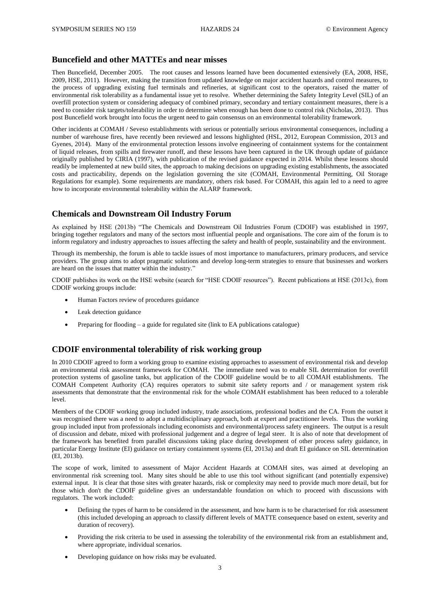# **Buncefield and other MATTEs and near misses**

Then Buncefield, December 2005. The root causes and lessons learned have been documented extensively (EA, 2008, HSE, 2009, HSE, 2011). However, making the transition from updated knowledge on major accident hazards and control measures, to the process of upgrading existing fuel terminals and refineries, at significant cost to the operators, raised the matter of environmental risk tolerability as a fundamental issue yet to resolve. Whether determining the Safety Integrity Level (SIL) of an overfill protection system or considering adequacy of combined primary, secondary and tertiary containment measures, there is a need to consider risk targets/tolerability in order to determine when enough has been done to control risk (Nicholas, 2013). Thus post Buncefield work brought into focus the urgent need to gain consensus on an environmental tolerability framework.

Other incidents at COMAH / Seveso establishments with serious or potentially serious environmental consequences, including a number of warehouse fires, have recently been reviewed and lessons highlighted (HSL, 2012, European Commission, 2013 and Gyenes, 2014). Many of the environmental protection lessons involve engineering of containment systems for the containment of liquid releases, from spills and firewater runoff, and these lessons have been captured in the UK through update of guidance originally published by CIRIA (1997), with publication of the revised guidance expected in 2014. Whilst these lessons should readily be implemented at new build sites, the approach to making decisions on upgrading existing establishments, the associated costs and practicability, depends on the legislation governing the site (COMAH, Environmental Permitting, Oil Storage Regulations for example). Some requirements are mandatory, others risk based. For COMAH, this again led to a need to agree how to incorporate environmental tolerability within the ALARP framework.

### **Chemicals and Downstream Oil Industry Forum**

As explained by HSE (2013b) "The Chemicals and Downstream Oil Industries Forum (CDOIF) was established in 1997, bringing together regulators and many of the sectors most influential people and organisations. The core aim of the forum is to inform regulatory and industry approaches to issues affecting the safety and health of people, sustainability and the environment.

Through its membership, the forum is able to tackle issues of most importance to manufacturers, primary producers, and service providers. The group aims to adopt pragmatic solutions and develop long-term strategies to ensure that businesses and workers are heard on the issues that matter within the industry."

CDOIF publishes its work on the HSE website (search for "HSE CDOIF resources"). Recent publications at HSE (2013c), from CDOIF working groups include:

- Human Factors review of procedures guidance
- Leak detection guidance
- Preparing for flooding a guide for regulated site (link to EA publications catalogue)

# **CDOIF environmental tolerability of risk working group**

In 2010 CDOIF agreed to form a working group to examine existing approaches to assessment of environmental risk and develop an environmental risk assessment framework for COMAH. The immediate need was to enable SIL determination for overfill protection systems of gasoline tanks, but application of the CDOIF guideline would be to all COMAH establishments. The COMAH Competent Authority (CA) requires operators to submit site safety reports and / or management system risk assessments that demonstrate that the environmental risk for the whole COMAH establishment has been reduced to a tolerable level.

Members of the CDOIF working group included industry, trade associations, professional bodies and the CA. From the outset it was recognised there was a need to adopt a multidisciplinary approach, both at expert and practitioner levels. Thus the working group included input from professionals including economists and environmental/process safety engineers. The output is a result of discussion and debate, mixed with professional judgement and a degree of legal steer. It is also of note that development of the framework has benefited from parallel discussions taking place during development of other process safety guidance, in particular Energy Institute (EI) guidance on tertiary containment systems (EI, 2013a) and draft EI guidance on SIL determination (EI, 2013b).

The scope of work, limited to assessment of Major Accident Hazards at COMAH sites, was aimed at developing an environmental risk screening tool. Many sites should be able to use this tool without significant (and potentially expensive) external input. It is clear that those sites with greater hazards, risk or complexity may need to provide much more detail, but for those which don't the CDOIF guideline gives an understandable foundation on which to proceed with discussions with regulators. The work included:

- Defining the types of harm to be considered in the assessment, and how harm is to be characterised for risk assessment (this included developing an approach to classify different levels of MATTE consequence based on extent, severity and duration of recovery).
- Providing the risk criteria to be used in assessing the tolerability of the environmental risk from an establishment and, where appropriate, individual scenarios.
- Developing guidance on how risks may be evaluated.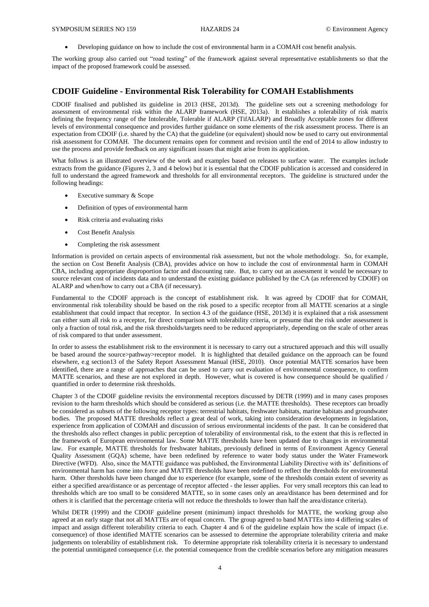Developing guidance on how to include the cost of environmental harm in a COMAH cost benefit analysis.

The working group also carried out "road testing" of the framework against several representative establishments so that the impact of the proposed framework could be assessed.

## **CDOIF Guideline - Environmental Risk Tolerability for COMAH Establishments**

CDOIF finalised and published its guideline in 2013 (HSE, 2013d). The guideline sets out a screening methodology for assessment of environmental risk within the ALARP framework (HSE, 2013a). It establishes a tolerability of risk matrix defining the frequency range of the Intolerable, Tolerable if ALARP (TifALARP) and Broadly Acceptable zones for different levels of environmental consequence and provides further guidance on some elements of the risk assessment process. There is an expectation from CDOIF (i.e. shared by the CA) that the guideline (or equivalent) should now be used to carry out environmental risk assessment for COMAH. The document remains open for comment and revision until the end of 2014 to allow industry to use the process and provide feedback on any significant issues that might arise from its application.

What follows is an illustrated overview of the work and examples based on releases to surface water. The examples include extracts from the guidance (Figures 2, 3 and 4 below) but it is essential that the CDOIF publication is accessed and considered in full to understand the agreed framework and thresholds for all environmental receptors. The guideline is structured under the following headings:

- Executive summary & Scope
- Definition of types of environmental harm
- Risk criteria and evaluating risks
- Cost Benefit Analysis
- Completing the risk assessment

Information is provided on certain aspects of environmental risk assessment, but not the whole methodology. So, for example, the section on Cost Benefit Analysis (CBA), provides advice on how to include the cost of environmental harm in COMAH CBA, including appropriate disproportion factor and discounting rate. But, to carry out an assessment it would be necessary to source relevant cost of incidents data and to understand the existing guidance published by the CA (as referenced by CDOIF) on ALARP and when/how to carry out a CBA (if necessary).

Fundamental to the CDOIF approach is the concept of establishment risk. It was agreed by CDOIF that for COMAH, environmental risk tolerability should be based on the risk posed to a specific receptor from all MATTE scenarios at a single establishment that could impact that receptor. In section 4.3 of the guidance (HSE, 2013d) it is explained that a risk assessment can either sum all risk to a receptor, for direct comparison with tolerability criteria, or presume that the risk under assessment is only a fraction of total risk, and the risk thresholds/targets need to be reduced appropriately, depending on the scale of other areas of risk compared to that under assessment.

In order to assess the establishment risk to the environment it is necessary to carry out a structured approach and this will usually be based around the source>pathway>receptor model. It is highlighted that detailed guidance on the approach can be found elsewhere, e.g section13 of the Safety Report Assessment Manual (HSE, 2010). Once potential MATTE scenarios have been identified, there are a range of approaches that can be used to carry out evaluation of environmental consequence, to confirm MATTE scenarios, and these are not explored in depth. However, what is covered is how consequence should be qualified / quantified in order to determine risk thresholds.

Chapter 3 of the CDOIF guideline revisits the environmental receptors discussed by DETR (1999) and in many cases proposes revision to the harm thresholds which should be considered as serious (i.e. the MATTE thresholds). These receptors can broadly be considered as subsets of the following receptor types: terrestrial habitats, freshwater habitats, marine habitats and groundwater bodies. The proposed MATTE thresholds reflect a great deal of work, taking into consideration developments in legislation, experience from application of COMAH and discussion of serious environmental incidents of the past. It can be considered that the thresholds also reflect changes in public perception of tolerability of environmental risk, to the extent that this is reflected in the framework of European environmental law. Some MATTE thresholds have been updated due to changes in environmental law. For example, MATTE thresholds for freshwater habitats, previously defined in terms of Environment Agency General Quality Assessment (GQA) scheme, have been redefined by reference to water body status under the Water Framework Directive (WFD). Also, since the MATTE guidance was published, the Environmental Liability Directive with its' definitions of environmental harm has come into force and MATTE thresholds have been redefined to reflect the thresholds for environmental harm. Other thresholds have been changed due to experience (for example, some of the thresholds contain extent of severity as either a specified area/distance or as percentage of receptor affected - the lesser applies. For very small receptors this can lead to thresholds which are too small to be considered MATTE, so in some cases only an area/distance has been determined and for others it is clarified that the percentage criteria will not reduce the thresholds to lower than half the area/distance criteria).

Whilst DETR (1999) and the CDOIF guideline present (minimum) impact thresholds for MATTE, the working group also agreed at an early stage that not all MATTEs are of equal concern. The group agreed to band MATTEs into 4 differing scales of impact and assign different tolerability criteria to each. Chapter 4 and 6 of the guideline explain how the scale of impact (i.e. consequence) of those identified MATTE scenarios can be assessed to determine the appropriate tolerability criteria and make judgements on tolerability of establishment risk. To determine appropriate risk tolerability criteria it is necessary to understand the potential unmitigated consequence (i.e. the potential consequence from the credible scenarios before any mitigation measures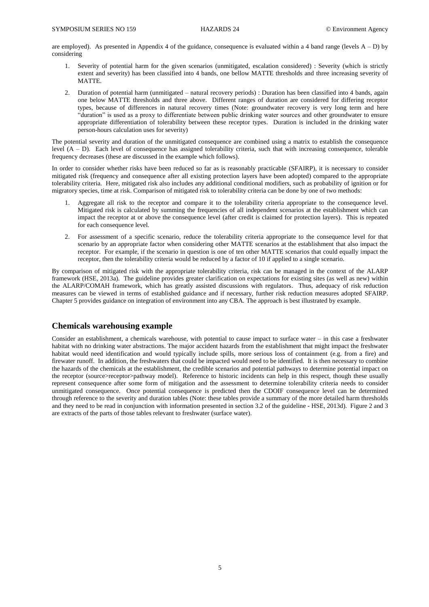are employed). As presented in Appendix 4 of the guidance, consequence is evaluated within a 4 band range (levels  $A - D$ ) by considering

- 1. Severity of potential harm for the given scenarios (unmitigated, escalation considered) : Severity (which is strictly extent and severity) has been classified into 4 bands, one bellow MATTE thresholds and three increasing severity of MATTE.
- 2. Duration of potential harm (unmitigated natural recovery periods) : Duration has been classified into 4 bands, again one below MATTE thresholds and three above. Different ranges of duration are considered for differing receptor types, because of differences in natural recovery times (Note: groundwater recovery is very long term and here "duration" is used as a proxy to differentiate between public drinking water sources and other groundwater to ensure appropriate differentiation of tolerability between these receptor types. Duration is included in the drinking water person-hours calculation uses for severity)

The potential severity and duration of the unmitigated consequence are combined using a matrix to establish the consequence level  $(A - D)$ . Each level of consequence has assigned tolerability criteria, such that with increasing consequence, tolerable frequency decreases (these are discussed in the example which follows).

In order to consider whether risks have been reduced so far as is reasonably practicable (SFAIRP), it is necessary to consider mitigated risk (frequency and consequence after all existing protection layers have been adopted) compared to the appropriate tolerability criteria. Here, mitigated risk also includes any additional conditional modifiers, such as probability of ignition or for migratory species, time at risk. Comparison of mitigated risk to tolerability criteria can be done by one of two methods:

- 1. Aggregate all risk to the receptor and compare it to the tolerability criteria appropriate to the consequence level. Mitigated risk is calculated by summing the frequencies of all independent scenarios at the establishment which can impact the receptor at or above the consequence level (after credit is claimed for protection layers). This is repeated for each consequence level.
- 2. For assessment of a specific scenario, reduce the tolerability criteria appropriate to the consequence level for that scenario by an appropriate factor when considering other MATTE scenarios at the establishment that also impact the receptor. For example, if the scenario in question is one of ten other MATTE scenarios that could equally impact the receptor, then the tolerability criteria would be reduced by a factor of 10 if applied to a single scenario.

By comparison of mitigated risk with the appropriate tolerability criteria, risk can be managed in the context of the ALARP framework (HSE, 2013a). The guideline provides greater clarification on expectations for existing sites (as well as new) within the ALARP/COMAH framework, which has greatly assisted discussions with regulators. Thus, adequacy of risk reduction measures can be viewed in terms of established guidance and if necessary, further risk reduction measures adopted SFAIRP. Chapter 5 provides guidance on integration of environment into any CBA. The approach is best illustrated by example.

### **Chemicals warehousing example**

Consider an establishment, a chemicals warehouse, with potential to cause impact to surface water – in this case a freshwater habitat with no drinking water abstractions. The major accident hazards from the establishment that might impact the freshwater habitat would need identification and would typically include spills, more serious loss of containment (e.g. from a fire) and firewater runoff. In addition, the freshwaters that could be impacted would need to be identified. It is then necessary to combine the hazards of the chemicals at the establishment, the credible scenarios and potential pathways to determine potential impact on the receptor (source>receptor>pathway model). Reference to historic incidents can help in this respect, though these usually represent consequence after some form of mitigation and the assessment to determine tolerability criteria needs to consider unmitigated consequence. Once potential consequence is predicted then the CDOIF consequence level can be determined through reference to the severity and duration tables (Note: these tables provide a summary of the more detailed harm thresholds and they need to be read in conjunction with information presented in section 3.2 of the guideline - HSE, 2013d). Figure 2 and 3 are extracts of the parts of those tables relevant to freshwater (surface water).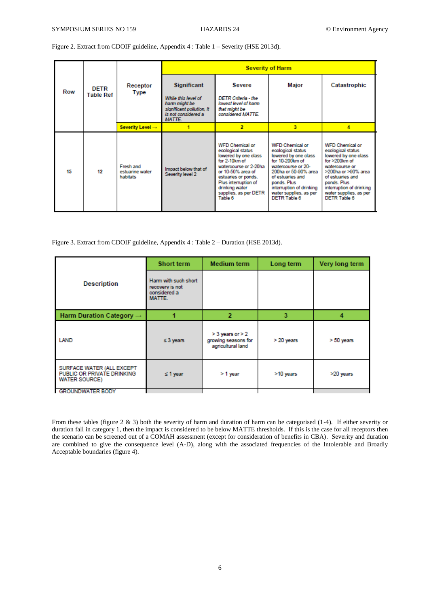Figure 2. Extract from CDOIF guideline, Appendix 4 : Table 1 – Severity (HSE 2013d).

| Row | <b>DETR</b><br><b>Table Ref</b> | Receptor<br><b>Type</b>                  | <b>Severity of Harm</b>                                                                                                  |                                                                                                                                                                                                                                         |                                                                                                                                                                                                                                               |                                                                                                                                                                                                                                           |
|-----|---------------------------------|------------------------------------------|--------------------------------------------------------------------------------------------------------------------------|-----------------------------------------------------------------------------------------------------------------------------------------------------------------------------------------------------------------------------------------|-----------------------------------------------------------------------------------------------------------------------------------------------------------------------------------------------------------------------------------------------|-------------------------------------------------------------------------------------------------------------------------------------------------------------------------------------------------------------------------------------------|
|     |                                 |                                          | <b>Significant</b><br>While this level of<br>harm might be<br>significant pollution, it<br>is not considered a<br>MATTE. | Severe<br><b>DETR Criteria - the</b><br>lowest level of harm<br>that might be<br>considered MATTE.                                                                                                                                      | Major                                                                                                                                                                                                                                         | Catastrophic                                                                                                                                                                                                                              |
|     |                                 | Severity Level →                         |                                                                                                                          | $\overline{2}$                                                                                                                                                                                                                          | 3                                                                                                                                                                                                                                             | л                                                                                                                                                                                                                                         |
| 15  | 12                              | Fresh and<br>estuarine water<br>habitats | Impact below that of<br>Severity level 2                                                                                 | <b>WFD Chemical or</b><br>ecological status<br>lowered by one class<br>for 2-10km of<br>watercourse or 2-20ha<br>or 10-50% area of<br>estuaries or ponds.<br>Plus interruption of<br>drinking water<br>supplies, as per DETR<br>Table 6 | <b>WFD Chemical or</b><br>ecological status<br>lowered by one class<br>for 10-200km of<br>watercourse or 20-<br>200ha or 50-90% area<br>of estuaries and<br>ponds. Plus<br>interruption of drinking<br>water supplies, as per<br>DETR Table 6 | <b>WFD Chemical or</b><br>ecological status<br>lowered by one class<br>for $>200$ km of<br>watercourse or<br>>200ha or >90% area<br>of estuaries and<br>ponds, Plus<br>interruption of drinking<br>water supplies, as per<br>DETR Table 6 |

Figure 3. Extract from CDOIF guideline, Appendix 4 : Table 2 – Duration (HSE 2013d).

|                                                                                 | Short term                                                        | Medium term                                                      | Long term  | Very long term |
|---------------------------------------------------------------------------------|-------------------------------------------------------------------|------------------------------------------------------------------|------------|----------------|
| <b>Description</b>                                                              | Harm with such short<br>recovery is not<br>considered a<br>MATTE. |                                                                  |            |                |
| Harm Duration Category $\rightarrow$                                            |                                                                   | 2                                                                | 3          |                |
| LAND                                                                            | $\leq 3$ years                                                    | $>$ 3 years or $>$ 2<br>growing seasons for<br>agricultural land | > 20 years | $> 50$ years   |
| SURFACE WATER (ALL EXCEPT<br>PUBLIC OR PRIVATE DRINKING<br><b>WATER SOURCE)</b> | $\leq$ 1 year                                                     | > 1 year                                                         | >10 years  | >20 years      |
| <b>GROUNDWATER BODY</b>                                                         |                                                                   |                                                                  |            |                |

From these tables (figure 2 & 3) both the severity of harm and duration of harm can be categorised (1-4). If either severity or duration fall in category 1, then the impact is considered to be below MATTE thresholds. If this is the case for all receptors then the scenario can be screened out of a COMAH assessment (except for consideration of benefits in CBA). Severity and duration are combined to give the consequence level (A-D), along with the associated frequencies of the Intolerable and Broadly Acceptable boundaries (figure 4).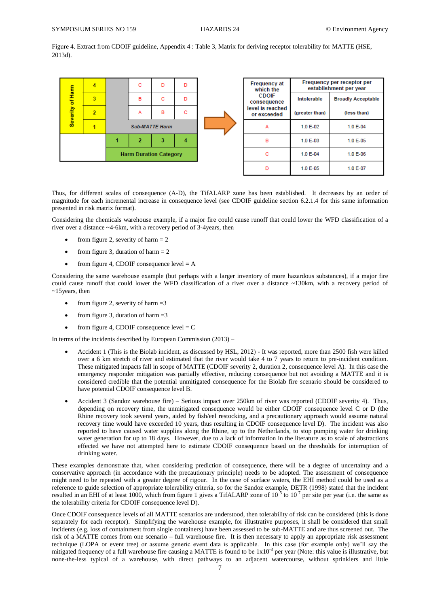Figure 4. Extract from CDOIF guideline, Appendix 4 : Table 3, Matrix for deriving receptor tolerability for MATTE (HSE, 2013d).



Thus, for different scales of consequence (A-D), the TifALARP zone has been established. It decreases by an order of magnitude for each incremental increase in consequence level (see CDOIF guideline section 6.2.1.4 for this same information presented in risk matrix format).

Considering the chemicals warehouse example, if a major fire could cause runoff that could lower the WFD classification of a river over a distance ~4-6km, with a recovery period of 3-4years, then

- from figure 2, severity of harm  $= 2$
- from figure 3, duration of harm  $= 2$
- from figure 4, CDOIF consequence level  $= A$

Considering the same warehouse example (but perhaps with a larger inventory of more hazardous substances), if a major fire could cause runoff that could lower the WFD classification of a river over a distance ~130km, with a recovery period of ~15years, then

- from figure 2, severity of harm  $=3$
- from figure 3, duration of harm  $=3$
- from figure 4, CDOIF consequence level  $= C$

In terms of the incidents described by European Commission (2013) –

- Accident 1 (This is the Biolab incident, as discussed by HSL, 2012) It was reported, more than 2500 fish were killed over a 6 km stretch of river and estimated that the river would take 4 to 7 years to return to pre-incident condition. These mitigated impacts fall in scope of MATTE (CDOIF severity 2, duration 2, consequence level A). In this case the emergency responder mitigation was partially effective, reducing consequence but not avoiding a MATTE and it is considered credible that the potential unmitigated consequence for the Biolab fire scenario should be considered to have potential CDOIF consequence level B.
- Accident 3 (Sandoz warehouse fire) Serious impact over 250km of river was reported (CDOIF severity 4). Thus, depending on recovery time, the unmitigated consequence would be either CDOIF consequence level C or D (the Rhine recovery took several years, aided by fish/eel restocking, and a precautionary approach would assume natural recovery time would have exceeded 10 years, thus resulting in CDOIF consequence level D). The incident was also reported to have caused water supplies along the Rhine, up to the Netherlands, to stop pumping water for drinking water generation for up to 18 days. However, due to a lack of information in the literature as to scale of abstractions effected we have not attempted here to estimate CDOIF consequence based on the thresholds for interruption of drinking water.

These examples demonstrate that, when considering prediction of consequence, there will be a degree of uncertainty and a conservative approach (in accordance with the precautionary principle) needs to be adopted. The assessment of consequence might need to be repeated with a greater degree of rigour. In the case of surface waters, the EHI method could be used as a reference to guide selection of appropriate tolerability criteria, so for the Sandoz example, DETR (1998) stated that the incident resulted in an EHI of at least 1000, which from figure 1 gives a TifALARP zone of  $10^{-5}$  to  $10^{-7}$  per site per year (i.e. the same as the tolerability criteria for CDOIF consequence level D).

Once CDOIF consequence levels of all MATTE scenarios are understood, then tolerability of risk can be considered (this is done separately for each receptor). Simplifying the warehouse example, for illustrative purposes, it shall be considered that small incidents (e.g. loss of containment from single containers) have been assessed to be sub-MATTE and are thus screened out. The risk of a MATTE comes from one scenario – full warehouse fire. It is then necessary to apply an appropriate risk assessment technique (LOPA or event tree) or assume generic event data is applicable. In this case (for example only) we'll say the mitigated frequency of a full warehouse fire causing a MATTE is found to be  $1x10^{-3}$  per year (Note: this value is illustrative, but none-the-less typical of a warehouse, with direct pathways to an adjacent watercourse, without sprinklers and little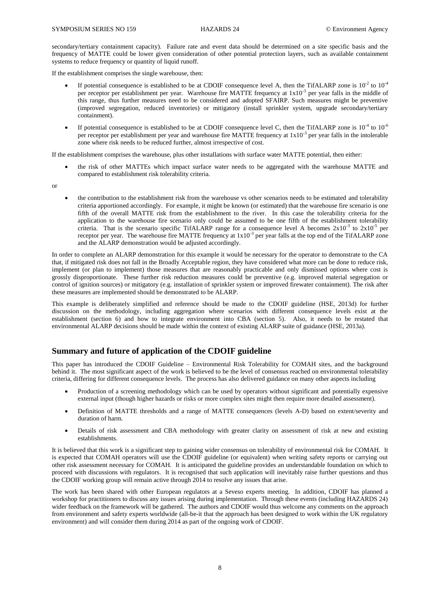secondary/tertiary containment capacity). Failure rate and event data should be determined on a site specific basis and the frequency of MATTE could be lower given consideration of other potential protection layers, such as available containment systems to reduce frequency or quantity of liquid runoff.

If the establishment comprises the single warehouse, then:

- If potential consequence is established to be at CDOIF consequence level A, then the TifALARP zone is  $10^{-2}$  to  $10^{-4}$ per receptor per establishment per year. Warehouse fire MATTE frequency at  $1x10^{-3}$  per year falls in the middle of this range, thus further measures need to be considered and adopted SFAIRP. Such measures might be preventive (improved segregation, reduced inventories) or mitigatory (install sprinkler system, upgrade secondary/tertiary containment).
- If potential consequence is established to be at CDOIF consequence level C, then the TifALARP zone is  $10^{-4}$  to  $10^{-6}$ per receptor per establishment per year and warehouse fire MATTE frequency at  $1x10^{-3}$  per year falls in the intolerable zone where risk needs to be reduced further, almost irrespective of cost.

If the establishment comprises the warehouse, plus other installations with surface water MATTE potential, then either:

- the risk of other MATTEs which impact surface water needs to be aggregated with the warehouse MATTE and compared to establishment risk tolerability criteria.
- or
- the contribution to the establishment risk from the warehouse vs other scenarios needs to be estimated and tolerability criteria apportioned accordingly. For example, it might be known (or estimated) that the warehouse fire scenario is one fifth of the overall MATTE risk from the establishment to the river. In this case the tolerability criteria for the application to the warehouse fire scenario only could be assumed to be one fifth of the establishment tolerability criteria. That is the scenario specific TifALARP range for a consequence level A becomes  $2x10^{-3}$  to  $2x10^{-5}$  per receptor per year. The warehouse fire MATTE frequency at  $1x10^{-3}$  per year falls at the top end of the TifALARP zone and the ALARP demonstration would be adjusted accordingly.

In order to complete an ALARP demonstration for this example it would be necessary for the operator to demonstrate to the CA that, if mitigated risk does not fall in the Broadly Acceptable region, they have considered what more can be done to reduce risk, implement (or plan to implement) those measures that are reasonably practicable and only dismissed options where cost is grossly disproportionate. These further risk reduction measures could be preventive (e.g. improved material segregation or control of ignition sources) or mitigatory (e.g. installation of sprinkler system or improved firewater containment). The risk after these measures are implemented should be demonstrated to be ALARP.

This example is deliberately simplified and reference should be made to the CDOIF guideline (HSE, 2013d) for further discussion on the methodology, including aggregation where scenarios with different consequence levels exist at the establishment (section 6) and how to integrate environment into CBA (section 5). Also, it needs to be restated that environmental ALARP decisions should be made within the context of existing ALARP suite of guidance (HSE, 2013a).

# **Summary and future of application of the CDOIF guideline**

This paper has introduced the CDOIF Guideline – Environmental Risk Tolerability for COMAH sites, and the background behind it. The most significant aspect of the work is believed to be the level of consensus reached on environmental tolerability criteria, differing for different consequence levels. The process has also delivered guidance on many other aspects including

- Production of a screening methodology which can be used by operators without significant and potentially expensive external input (though higher hazards or risks or more complex sites might then require more detailed assessment).
- Definition of MATTE thresholds and a range of MATTE consequences (levels A-D) based on extent/severity and duration of harm.
- Details of risk assessment and CBA methodology with greater clarity on assessment of risk at new and existing establishments.

It is believed that this work is a significant step to gaining wider consensus on tolerability of environmental risk for COMAH. It is expected that COMAH operators will use the CDOIF guideline (or equivalent) when writing safety reports or carrying out other risk assessment necessary for COMAH. It is anticipated the guideline provides an understandable foundation on which to proceed with discussions with regulators. It is recognised that such application will inevitably raise further questions and thus the CDOIF working group will remain active through 2014 to resolve any issues that arise.

The work has been shared with other European regulators at a Seveso experts meeting. In addition, CDOIF has planned a workshop for practitioners to discuss any issues arising during implementation. Through these events (including HAZARDS 24) wider feedback on the framework will be gathered. The authors and CDOIF would thus welcome any comments on the approach from environment and safety experts worldwide (all-be-it that the approach has been designed to work within the UK regulatory environment) and will consider them during 2014 as part of the ongoing work of CDOIF.